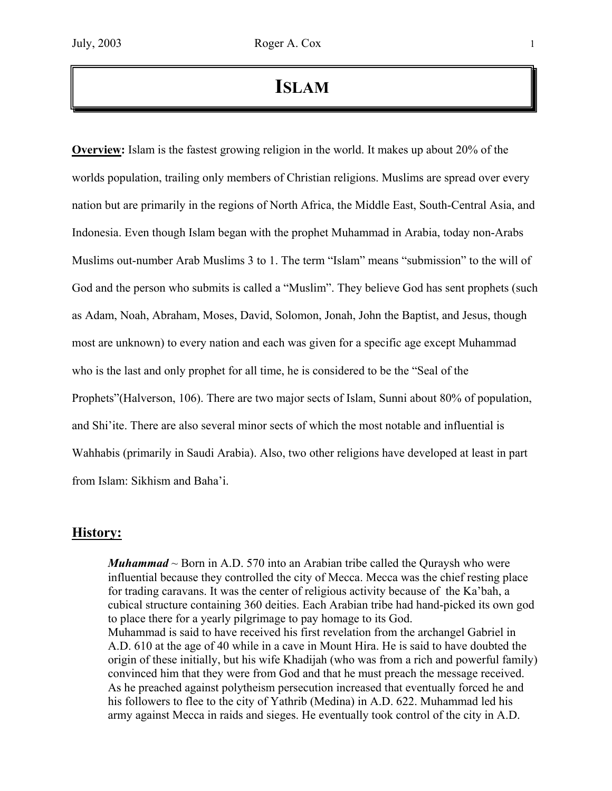# **ISLAM**

**Overview:** Islam is the fastest growing religion in the world. It makes up about 20% of the worlds population, trailing only members of Christian religions. Muslims are spread over every nation but are primarily in the regions of North Africa, the Middle East, South-Central Asia, and Indonesia. Even though Islam began with the prophet Muhammad in Arabia, today non-Arabs Muslims out-number Arab Muslims 3 to 1. The term "Islam" means "submission" to the will of God and the person who submits is called a "Muslim". They believe God has sent prophets (such as Adam, Noah, Abraham, Moses, David, Solomon, Jonah, John the Baptist, and Jesus, though most are unknown) to every nation and each was given for a specific age except Muhammad who is the last and only prophet for all time, he is considered to be the "Seal of the Prophets"(Halverson, 106). There are two major sects of Islam, Sunni about 80% of population, and Shi'ite. There are also several minor sects of which the most notable and influential is Wahhabis (primarily in Saudi Arabia). Also, two other religions have developed at least in part from Islam: Sikhism and Baha'i.

## **History:**

*Muhammad*  $\sim$  Born in A.D. 570 into an Arabian tribe called the Ouraysh who were influential because they controlled the city of Mecca. Mecca was the chief resting place for trading caravans. It was the center of religious activity because of the Ka'bah, a cubical structure containing 360 deities. Each Arabian tribe had hand-picked its own god to place there for a yearly pilgrimage to pay homage to its God. Muhammad is said to have received his first revelation from the archangel Gabriel in A.D. 610 at the age of 40 while in a cave in Mount Hira. He is said to have doubted the origin of these initially, but his wife Khadijah (who was from a rich and powerful family) convinced him that they were from God and that he must preach the message received. As he preached against polytheism persecution increased that eventually forced he and his followers to flee to the city of Yathrib (Medina) in A.D. 622. Muhammad led his army against Mecca in raids and sieges. He eventually took control of the city in A.D.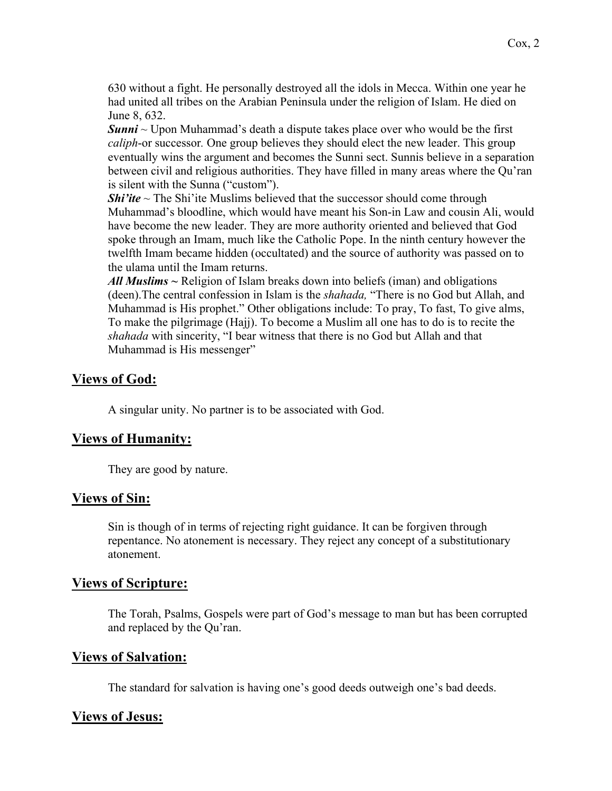630 without a fight. He personally destroyed all the idols in Mecca. Within one year he had united all tribes on the Arabian Peninsula under the religion of Islam. He died on June 8, 632.

*Sunni* ~ Upon Muhammad's death a dispute takes place over who would be the first *caliph*-or successor*.* One group believes they should elect the new leader. This group eventually wins the argument and becomes the Sunni sect. Sunnis believe in a separation between civil and religious authorities. They have filled in many areas where the Qu'ran is silent with the Sunna ("custom").

**Shi'ite**  $\sim$  The Shi'ite Muslims believed that the successor should come through Muhammad's bloodline, which would have meant his Son-in Law and cousin Ali, would have become the new leader. They are more authority oriented and believed that God spoke through an Imam, much like the Catholic Pope. In the ninth century however the twelfth Imam became hidden (occultated) and the source of authority was passed on to the ulama until the Imam returns.

*All Muslims ~* Religion of Islam breaks down into beliefs (iman) and obligations (deen).The central confession in Islam is the *shahada,* "There is no God but Allah, and Muhammad is His prophet." Other obligations include: To pray, To fast, To give alms, To make the pilgrimage (Hajj). To become a Muslim all one has to do is to recite the *shahada* with sincerity, "I bear witness that there is no God but Allah and that Muhammad is His messenger"

## **Views of God:**

A singular unity. No partner is to be associated with God.

## **Views of Humanity:**

They are good by nature.

#### **Views of Sin:**

Sin is though of in terms of rejecting right guidance. It can be forgiven through repentance. No atonement is necessary. They reject any concept of a substitutionary atonement.

## **Views of Scripture:**

The Torah, Psalms, Gospels were part of God's message to man but has been corrupted and replaced by the Qu'ran.

#### **Views of Salvation:**

The standard for salvation is having one's good deeds outweigh one's bad deeds.

## **Views of Jesus:**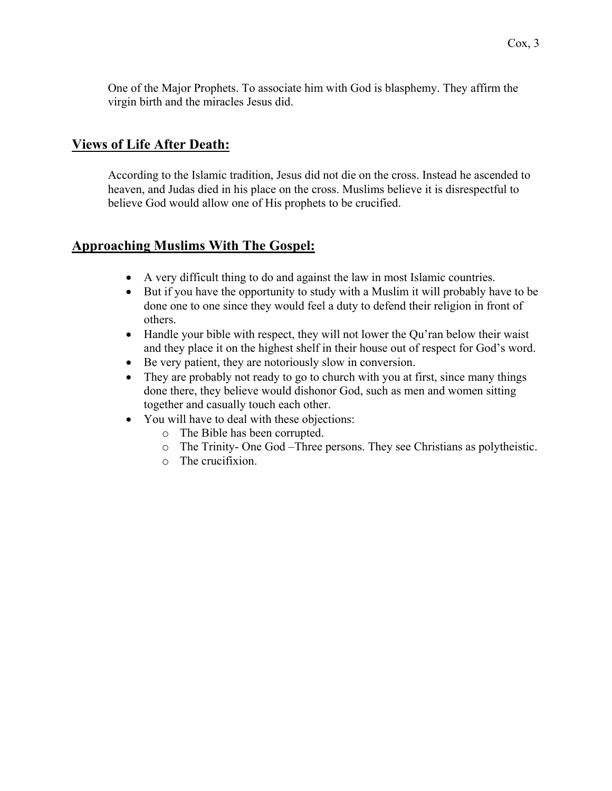One of the Major Prophets. To associate him with God is blasphemy. They affirm the virgin birth and the miracles Jesus did.

# **Views of Life After Death:**

According to the Islamic tradition, Jesus did not die on the cross. Instead he ascended to heaven, and Judas died in his place on the cross. Muslims believe it is disrespectful to believe God would allow one of His prophets to be crucified.

# **Approaching Muslims With The Gospel:**

- A very difficult thing to do and against the law in most Islamic countries.
- But if you have the opportunity to study with a Muslim it will probably have to be done one to one since they would feel a duty to defend their religion in front of others.
- Handle your bible with respect, they will not lower the Qu'ran below their waist and they place it on the highest shelf in their house out of respect for God's word.
- Be very patient, they are notoriously slow in conversion.
- They are probably not ready to go to church with you at first, since many things done there, they believe would dishonor God, such as men and women sitting together and casually touch each other.
- You will have to deal with these objections:
	- o The Bible has been corrupted.
	- o The Trinity- One God –Three persons. They see Christians as polytheistic.
	- o The crucifixion.